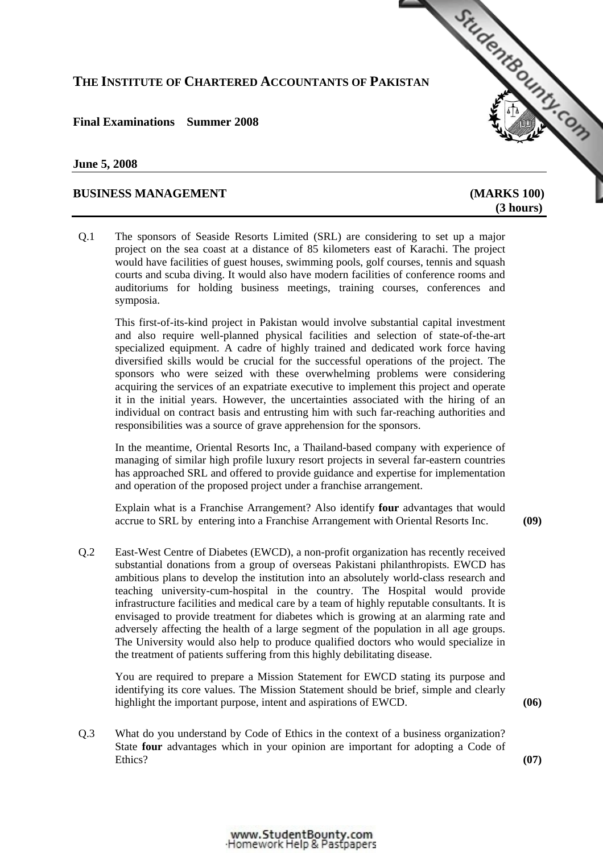## **THE INSTITUTE OF CHARTERED ACCOUNTANTS OF PAKISTAN**

### **Final Examinations Summer 2008**

#### **June 5, 2008**

### **BUSINESS MANAGEMENT [\(MARKS 100\)](http://www.studentbounty.com)**

# **(3 hours)**

StudentBounds Com

Q.1 The sponsors of Seaside Resorts Limited (SRL) are considering to set up a major project on the sea coast at a distance of 85 kilometers east of Karachi. The project would have facilities of guest houses, swimming pools, golf courses, tennis and squash courts and scuba diving. It would also have modern facilities of conference rooms and auditoriums for holding business meetings, training courses, conferences and symposia.

This first-of-its-kind project in Pakistan would involve substantial capital investment and also require well-planned physical facilities and selection of state-of-the-art specialized equipment. A cadre of highly trained and dedicated work force having diversified skills would be crucial for the successful operations of the project. The sponsors who were seized with these overwhelming problems were considering acquiring the services of an expatriate executive to implement this project and operate it in the initial years. However, the uncertainties associated with the hiring of an individual on contract basis and entrusting him with such far-reaching authorities and responsibilities was a source of grave apprehension for the sponsors.

In the meantime, Oriental Resorts Inc, a Thailand-based company with experience of managing of similar high profile luxury resort projects in several far-eastern countries has approached SRL and offered to provide guidance and expertise for implementation and operation of the proposed project under a franchise arrangement.

 Explain what is a Franchise Arrangement? Also identify **four** advantages that would accrue to SRL by entering into a Franchise Arrangement with Oriental Resorts Inc. **(09)**

Q.2 East-West Centre of Diabetes (EWCD), a non-profit organization has recently received substantial donations from a group of overseas Pakistani philanthropists. EWCD has ambitious plans to develop the institution into an absolutely world-class research and teaching university-cum-hospital in the country. The Hospital would provide infrastructure facilities and medical care by a team of highly reputable consultants. It is envisaged to provide treatment for diabetes which is growing at an alarming rate and adversely affecting the health of a large segment of the population in all age groups. The University would also help to produce qualified doctors who would specialize in the treatment of patients suffering from this highly debilitating disease.

You are required to prepare a Mission Statement for EWCD stating its purpose and identifying its core values. The Mission Statement should be brief, simple and clearly highlight the important purpose, intent and aspirations of EWCD. **(06)** 

Q.3 What do you understand by Code of Ethics in the context of a business organization? State **four** advantages which in your opinion are important for adopting a Code of Ethics? **(07)**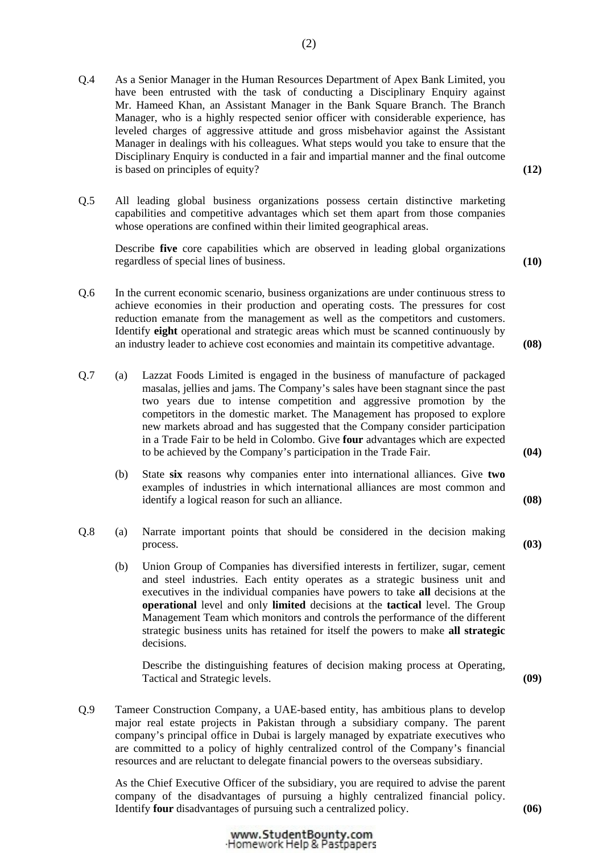- Q.4 As a Senior Manager in the Human Resources Department of Apex Bank Limited, you have been entrusted with the task of conducting a Disciplinary Enquiry against Mr. Hameed Khan, an Assistant Manager in the Bank Square Branch. The Branch Manager, who is a highly respected senior officer with considerable experience, has leveled charges of aggressive attitude and gross misbehavior against the Assistant Manager in dealings with his colleagues. What steps would you take to ensure that the Disciplinary Enquiry is conducted in a fair and impartial manner and the final outcome is based on principles of equity? **(12)**
- Q.5 All leading global business organizations possess certain distinctive marketing capabilities and competitive advantages which set them apart from those companies whose operations are confined within their limited geographical areas.

Describe **five** core capabilities which are observed in leading global organizations regardless of special lines of business. **(10)**

- Q.6 In the current economic scenario, business organizations are under continuous stress to achieve economies in their production and operating costs. The pressures for cost reduction emanate from the management as well as the competitors and customers. Identify **eight** operational and strategic areas which must be scanned continuously by an industry leader to achieve cost economies and maintain its competitive advantage. **(08)**
- Q.7 (a) Lazzat Foods Limited is engaged in the business of manufacture of packaged masalas, jellies and jams. The Company's sales have been stagnant since the past two years due to intense competition and aggressive promotion by the competitors in the domestic market. The Management has proposed to explore new markets abroad and has suggested that the Company consider participation in a Trade Fair to be held in Colombo. Give **four** advantages which are expected to be achieved by the Company's participation in the Trade Fair. **(04)**
	- (b) State **six** reasons why companies enter into international alliances. Give **two** examples of industries in which international alliances are most common and identify a logical reason for such an alliance. **(08)**
- Q.8 (a) Narrate important points that should be considered in the decision making process. **(03)**
	- (b) Union Group of Companies has diversified interests in fertilizer, sugar, cement and steel industries. Each entity operates as a strategic business unit and executives in the individual companies have powers to take **all** decisions at the **operational** level and only **limited** decisions at the **tactical** level. The Group Management Team which monitors and controls the performance of the different strategic business units has retained for itself the powers to make **all strategic**  decisions.

 Describe the distinguishing features of decision making process at Operating, Tactical and Strategic levels. **(09) (09)** 

Q.9 Tameer Construction Company, a UAE-based entity, has ambitious plans to develop major real estate projects in Pakistan through a subsidiary company. The parent company's principal office in Dubai is largely managed by expatriate executives who are committed to a policy of highly centralized control of the Company's financial resources and are reluctant to delegate financial powers to the overseas subsidiary.

 As the Chief Executive Officer of the subsidiary, you are required to advise the parent company of the disadvantages of pursuing a highly centralized financial policy. Identify **four** disadvantages of pursuing such a centralized policy. **(06)**